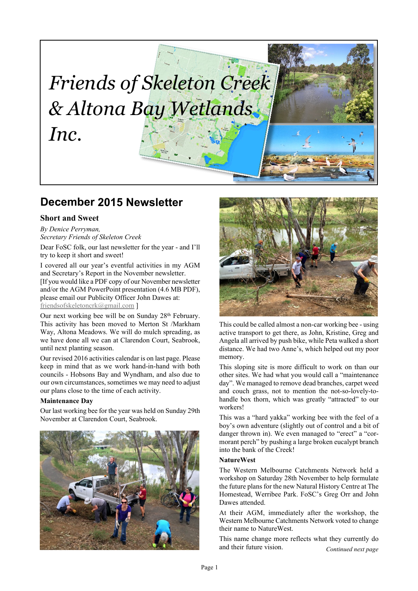# *Friends of Skeleton Creek & Altona Bay Wetlands Inc.*

# **December 2015 Newsletter**

# **Short and Sweet**

*By Denice Perryman, Secretary Friends of Skeleton Creek*

Dear FoSC folk, our last newsletter for the year - and I'll try to keep it short and sweet!

I covered all our year's eventful activities in my AGM and Secretary's Report in the November newsletter. [If you would like a PDF copy of our November newsletter and/or the AGM PowerPoint presentation (4.6 MB PDF), please email our Publicity Officer John Dawes at: [friendsofskeletoncrk@gmail.com](mailto:friendsofskeletoncrk@gmail.com) ]

Our next working bee will be on Sunday 28<sup>th</sup> February. This activity has been moved to Merton St /Markham Way, Altona Meadows. We will do mulch spreading, as we have done all we can at Clarendon Court, Seabrook, until next planting season.

Our revised 2016 activities calendar is on last page. Please keep in mind that as we work hand-in-hand with both councils - Hobsons Bay and Wyndham, and also due to our own circumstances, sometimes we may need to adjust our plans close to the time of each activity.

#### **Maintenance Day**

Our last working bee for the year was held on Sunday 29th November at Clarendon Court, Seabrook.





This could be called almost a non-car working bee - using active transport to get there, as John, Kristine, Greg and Angela all arrived by push bike, while Peta walked a short distance. We had two Anne's, which helped out my poor memory.

This sloping site is more difficult to work on than our other sites. We had what you would call a "maintenance day". We managed to remove dead branches, carpet weed and couch grass, not to mention the not-so-lovely-tohandle box thorn, which was greatly "attracted" to our workers!

This was a "hard yakka" working bee with the feel of a boy's own adventure (slightly out of control and a bit of danger thrown in). We even managed to "erect" a "cormorant perch" by pushing a large broken eucalypt branch into the bank of the Creek!

## **NatureWest**

The Western Melbourne Catchments Network held a workshop on Saturday 28th November to help formulate the future plans for the new Natural History Centre at The Homestead, Werribee Park. FoSC's Greg Orr and John Dawes attended.

At their AGM, immediately after the workshop, the Western Melbourne Catchments Network voted to change their name to NatureWest.

*Continued next page* This name change more reflects what they currently do and their future vision.